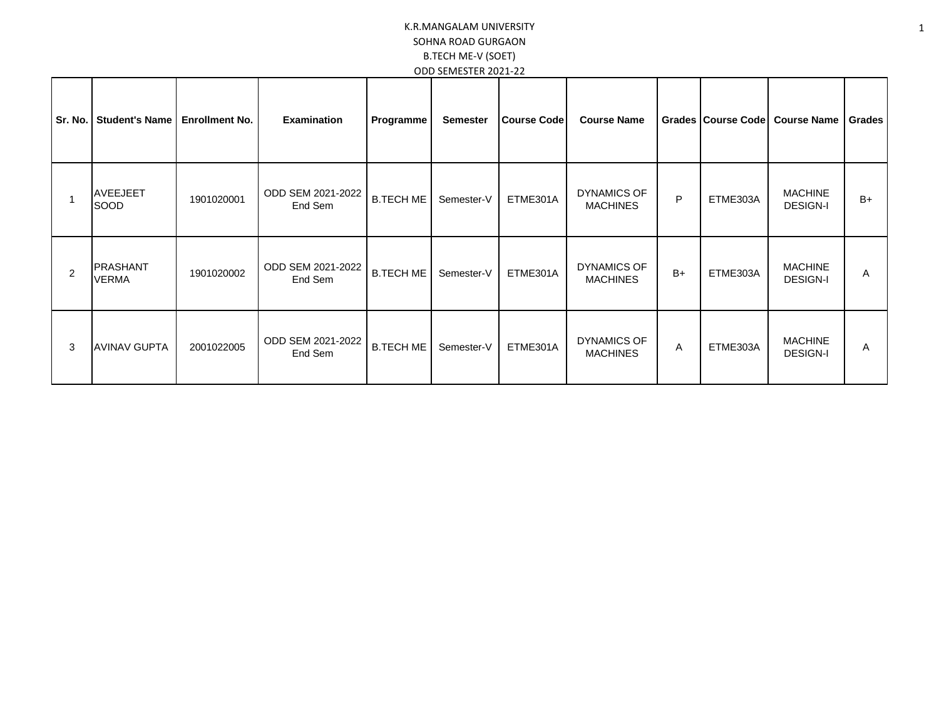| Sr. No. | <b>Student's Name</b>           | <b>Enrollment No.</b> | <b>Examination</b>           | Programme        | <b>Semester</b> | <b>Course Code</b> | <b>Course Name</b>                    |      | Grades   Course Code | <b>Course Name</b>                | Grades |
|---------|---------------------------------|-----------------------|------------------------------|------------------|-----------------|--------------------|---------------------------------------|------|----------------------|-----------------------------------|--------|
|         | <b>AVEEJEET</b><br>SOOD         | 1901020001            | ODD SEM 2021-2022<br>End Sem | <b>B.TECH ME</b> | Semester-V      | ETME301A           | <b>DYNAMICS OF</b><br><b>MACHINES</b> | P    | ETME303A             | <b>MACHINE</b><br><b>DESIGN-I</b> | $B+$   |
| 2       | <b>PRASHANT</b><br><b>VERMA</b> | 1901020002            | ODD SEM 2021-2022<br>End Sem | <b>B.TECH ME</b> | Semester-V      | ETME301A           | <b>DYNAMICS OF</b><br><b>MACHINES</b> | $B+$ | ETME303A             | <b>MACHINE</b><br><b>DESIGN-I</b> | Α      |
| 3       | <b>AVINAV GUPTA</b>             | 2001022005            | ODD SEM 2021-2022<br>End Sem | <b>B.TECH ME</b> | Semester-V      | ETME301A           | <b>DYNAMICS OF</b><br><b>MACHINES</b> | Α    | ETME303A             | <b>MACHINE</b><br><b>DESIGN-I</b> | Α      |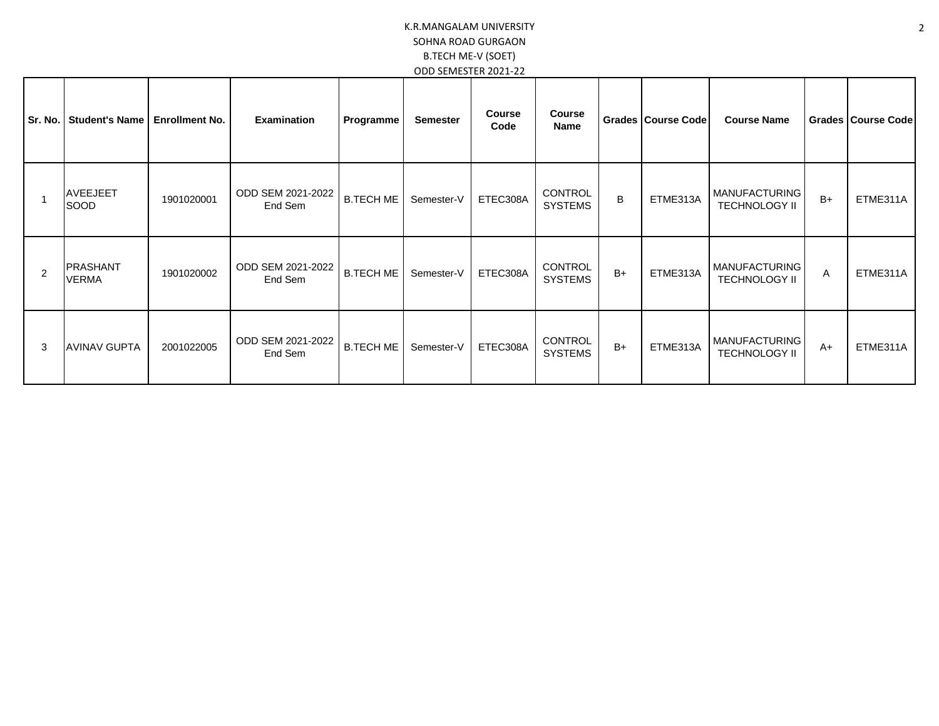| Sr. No. | <b>Student's Name</b>           | <b>Enrollment No.</b> | <b>Examination</b>           | Programme        | <b>Semester</b> | <b>Course</b><br>Code | <b>Course</b><br><b>Name</b>     |      | Grades Course Code | <b>Course Name</b>                           |      | Grades   Course Code |
|---------|---------------------------------|-----------------------|------------------------------|------------------|-----------------|-----------------------|----------------------------------|------|--------------------|----------------------------------------------|------|----------------------|
|         | <b>AVEEJEET</b><br>SOOD         | 1901020001            | ODD SEM 2021-2022<br>End Sem | B.TECH ME        | Semester-V      | ETEC308A              | <b>CONTROL</b><br><b>SYSTEMS</b> | B    | ETME313A           | <b>MANUFACTURING</b><br><b>TECHNOLOGY II</b> | $B+$ | ETME311A             |
| 2       | <b>PRASHANT</b><br><b>VERMA</b> | 1901020002            | ODD SEM 2021-2022<br>End Sem | <b>B.TECH ME</b> | Semester-V      | ETEC308A              | CONTROL<br><b>SYSTEMS</b>        | $B+$ | ETME313A           | <b>MANUFACTURING</b><br><b>TECHNOLOGY II</b> | A    | ETME311A             |
| 3       | <b>AVINAV GUPTA</b>             | 2001022005            | ODD SEM 2021-2022<br>End Sem | B.TECH ME        | Semester-V      | ETEC308A              | CONTROL<br><b>SYSTEMS</b>        | $B+$ | ETME313A           | <b>MANUFACTURING</b><br><b>TECHNOLOGY II</b> | $A+$ | ETME311A             |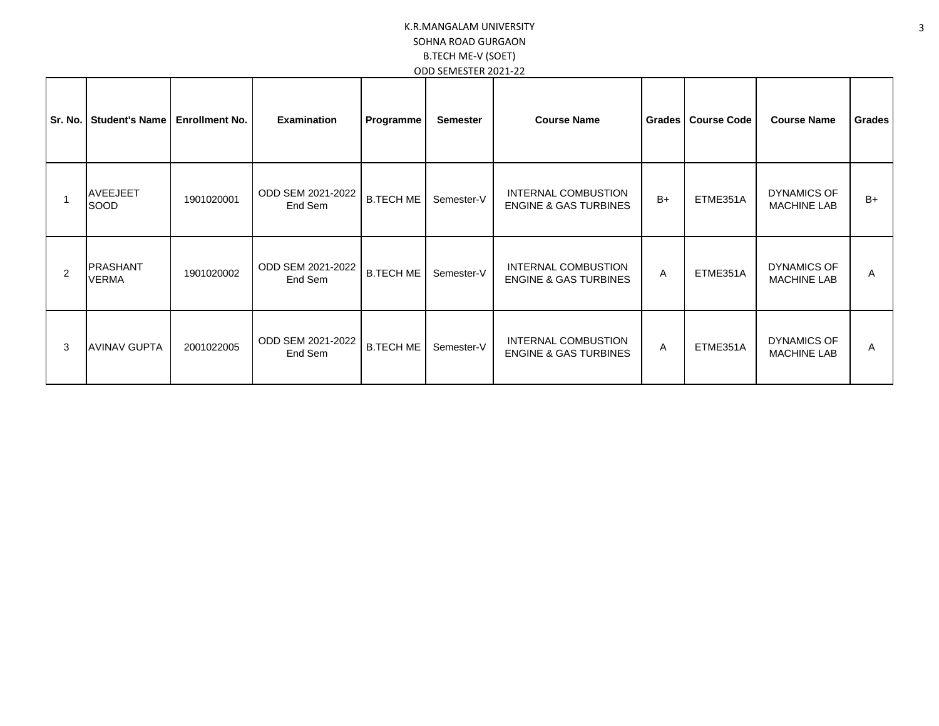| Sr. No. | <b>Student's Name</b>           | <b>Enrollment No.</b> | <b>Examination</b>           | Programme        | <b>Semester</b> | <b>Course Name</b>                                      | Grades | <b>Course Code</b> | <b>Course Name</b>                       | Grades |
|---------|---------------------------------|-----------------------|------------------------------|------------------|-----------------|---------------------------------------------------------|--------|--------------------|------------------------------------------|--------|
|         | <b>AVEEJEET</b><br>SOOD         | 1901020001            | ODD SEM 2021-2022<br>End Sem | <b>B.TECH ME</b> | Semester-V      | INTERNAL COMBUSTION<br><b>ENGINE &amp; GAS TURBINES</b> | $B+$   | ETME351A           | <b>DYNAMICS OF</b><br><b>MACHINE LAB</b> | $B+$   |
| 2       | <b>PRASHANT</b><br><b>VERMA</b> | 1901020002            | ODD SEM 2021-2022<br>End Sem | <b>B.TECH ME</b> | Semester-V      | INTERNAL COMBUSTION<br><b>ENGINE &amp; GAS TURBINES</b> | A      | ETME351A           | <b>DYNAMICS OF</b><br><b>MACHINE LAB</b> | A      |
| 3       | <b>AVINAV GUPTA</b>             | 2001022005            | ODD SEM 2021-2022<br>End Sem | <b>B.TECH ME</b> | Semester-V      | INTERNAL COMBUSTION<br><b>ENGINE &amp; GAS TURBINES</b> | Α      | ETME351A           | DYNAMICS OF<br><b>MACHINE LAB</b>        | A      |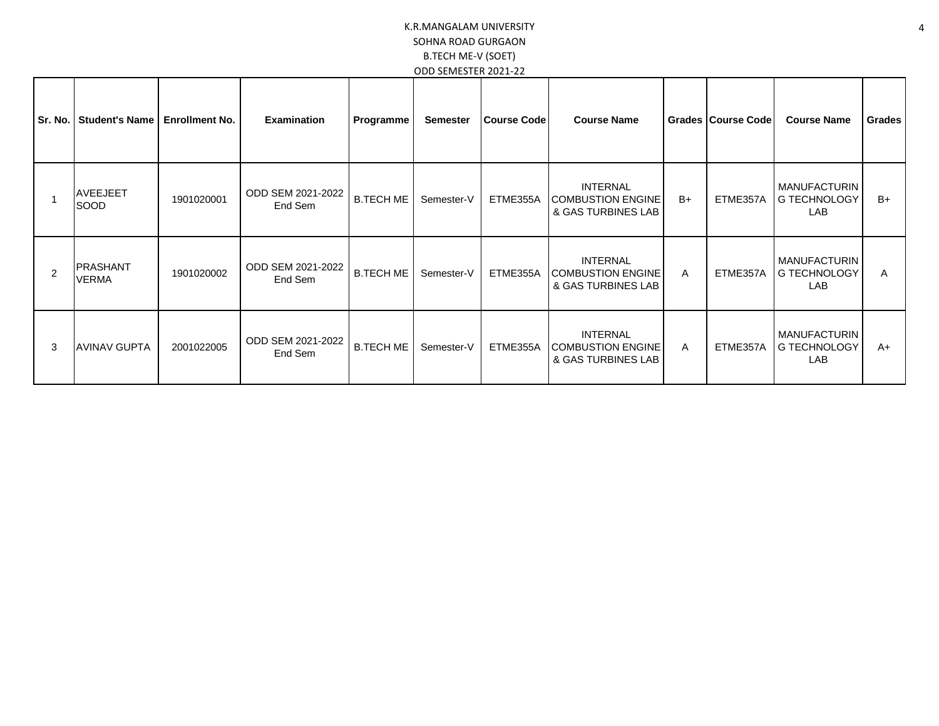| Sr. No. | <b>Student's Name</b>           | <b>Enrollment No.</b> | <b>Examination</b>           | Programme        | <b>Semester</b> | <b>Course Code</b> | <b>Course Name</b>                                                |      | <b>Grades Course Code</b> | <b>Course Name</b>                                       | Grades |
|---------|---------------------------------|-----------------------|------------------------------|------------------|-----------------|--------------------|-------------------------------------------------------------------|------|---------------------------|----------------------------------------------------------|--------|
|         | <b>AVEEJEET</b><br>SOOD         | 1901020001            | ODD SEM 2021-2022<br>End Sem | <b>B.TECH ME</b> | Semester-V      | ETME355A           | <b>INTERNAL</b><br><b>COMBUSTION ENGINE</b><br>& GAS TURBINES LAB | $B+$ | ETME357A                  | <b>MANUFACTURIN</b><br><b>G TECHNOLOGY</b><br><b>LAB</b> | $B+$   |
|         | <b>PRASHANT</b><br><b>VERMA</b> | 1901020002            | ODD SEM 2021-2022<br>End Sem | <b>B.TECH ME</b> | Semester-V      | ETME355A           | <b>INTERNAL</b><br><b>COMBUSTION ENGINE</b><br>& GAS TURBINES LAB | A    | ETME357A                  | <b>MANUFACTURIN</b><br>G TECHNOLOGY<br><b>LAB</b>        | A      |
| 3       | <b>AVINAV GUPTA</b>             | 2001022005            | ODD SEM 2021-2022<br>End Sem | <b>B.TECH ME</b> | Semester-V      | ETME355A           | <b>INTERNAL</b><br><b>COMBUSTION ENGINE</b><br>& GAS TURBINES LAB | A    | ETME357A                  | <b>MANUFACTURIN</b><br>G TECHNOLOGY<br><b>LAB</b>        | $A+$   |